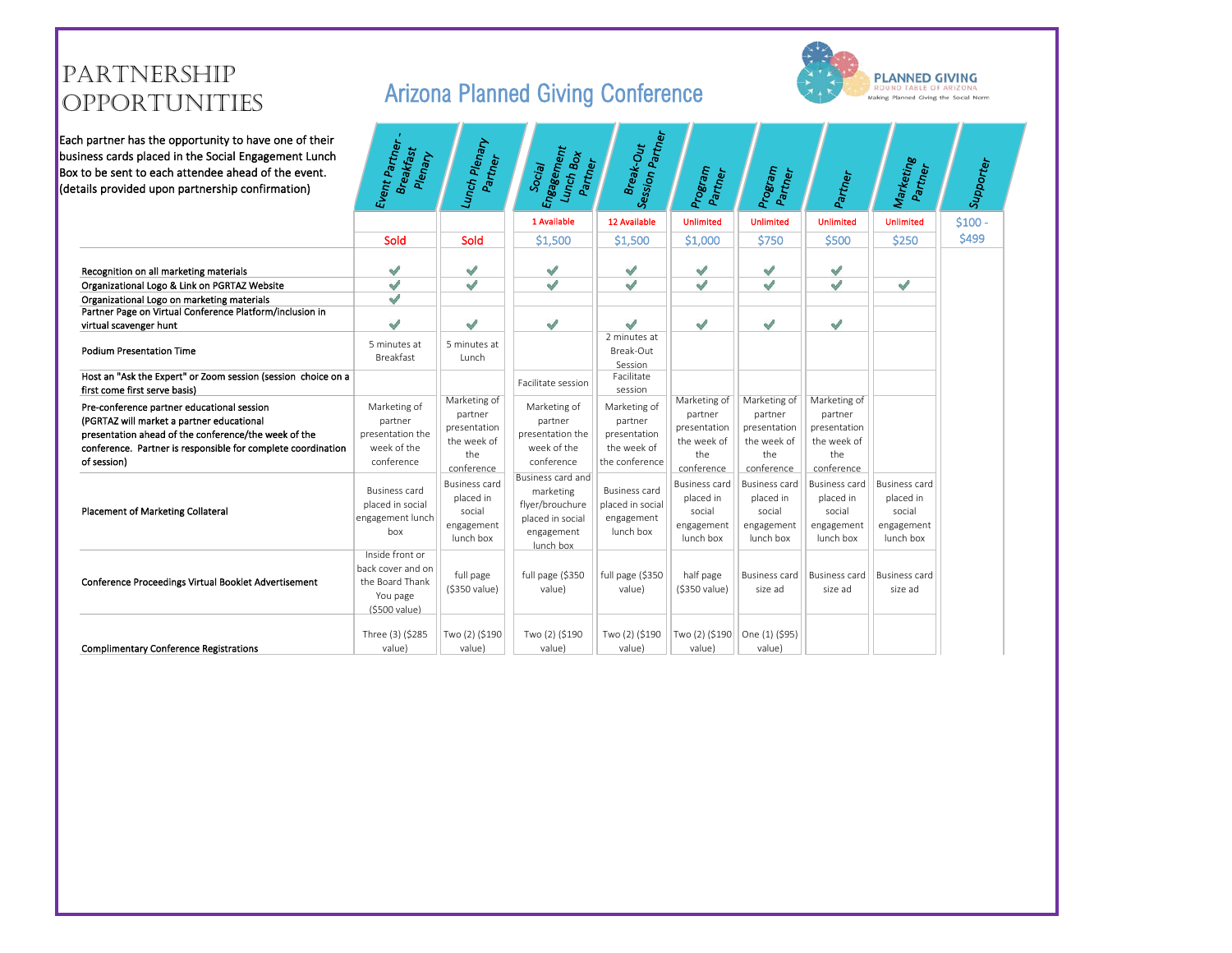# PARTNERSHIP<br>OPPORTUNITIES

Each  $\frac{1}{\sqrt{\frac{1}{1}}}\n$ Each partner has the opportunity to have one of their business cards placed in the Social Engagement Lunch Box to be sent to each attendee ahead of the event. (details provided upon partnership confirmation)

## Arizona Planned Giving Conference



| 1 Available<br>12 Available<br>$$100 -$<br><b>Unlimited</b><br><b>Unlimited</b><br><b>Unlimited</b><br><b>Unlimited</b><br>\$499<br>\$1,500<br>\$1,000<br>\$750<br>\$500<br>\$250<br>Sold<br>Sold<br>\$1,500<br>√<br>$\checkmark$<br>√<br>$\checkmark$<br>√<br>√<br>√<br>Recognition on all marketing materials<br>√<br>√<br>√<br>$\checkmark$<br>√<br>√<br>√<br>√<br>Organizational Logo & Link on PGRTAZ Website<br>√<br>Organizational Logo on marketing materials<br>Partner Page on Virtual Conference Platform/inclusion in<br>J<br>$\sqrt{2}$<br>√<br>J<br>√<br>√<br>√<br>virtual scavenger hunt<br>2 minutes at<br>5 minutes at<br>5 minutes at<br><b>Podium Presentation Time</b><br>Break-Out<br>Breakfast<br>Lunch<br>Session<br>Host an "Ask the Expert" or Zoom session (session choice on a<br>Facilitate<br>Facilitate session<br>first come first serve basis)<br>session<br>Marketing of<br>Marketing of<br>Marketing of<br>Marketing of<br>Pre-conference partner educational session<br>Marketing of<br>Marketing of<br>Marketing of<br>partner<br>partner<br>partner<br>partner<br>(PGRTAZ will market a partner educational<br>partner<br>partner<br>partner<br>presentation<br>presentation<br>presentation<br>presentation<br>presentation ahead of the conference/the week of the<br>presentation the<br>presentation the<br>presentation<br>the week of<br>the week of<br>the week of<br>the week of<br>week of the<br>week of the<br>the week of<br>conference. Partner is responsible for complete coordination<br>the<br>the<br>the<br>the<br>of session)<br>the conference<br>conference<br>conference<br>conference<br>conference<br>conference<br>conference<br>Business card and<br><b>Business card</b><br><b>Business card</b><br><b>Business card</b><br><b>Business card</b><br><b>Business card</b><br><b>Business card</b><br><b>Business card</b><br>marketing<br>placed in<br>placed in<br>placed in<br>placed in<br>placed in<br>placed in social<br>placed in social<br>flyer/brouchure<br><b>Placement of Marketing Collateral</b><br>social<br>social<br>social<br>social<br>social<br>engagement lunch<br>placed in social<br>engagement<br>engagement<br>engagement<br>engagement<br>engagement<br>engagement<br>lunch box<br>box<br>engagement<br>lunch box<br>lunch box<br>lunch box<br>lunch box<br>lunch box<br>lunch box<br>Inside front or<br>back cover and on<br>half page<br>full page<br>full page (\$350<br>full page (\$350<br><b>Business card</b><br><b>Business card</b><br><b>Business card</b><br>Conference Proceedings Virtual Booklet Advertisement<br>the Board Thank<br>(\$350 value)<br>value)<br>value)<br>(\$350 value)<br>size ad<br>size ad<br>size ad<br>You page<br>(\$500 value)<br>Three (3) (\$285<br>Two (2) (\$190<br>One (1) (\$95)<br>Two (2) (\$190<br>Two (2) (\$190<br>Two (2) (\$190<br><b>Complimentary Conference Registrations</b><br>value)<br>value)<br>value)<br>value)<br>value)<br>value) | n partner has the opportunity to have one of their<br>ness cards placed in the Social Engagement Lunch<br>to be sent to each attendee ahead of the event.<br>ails provided upon partnership confirmation) | Event Partner .<br><b>Breakfast</b><br>Plenary | Lunch Plenary<br>Partner | Engagement<br>Lunch Box<br>Partner<br>Social | Session Partner<br>Break-Out | Program<br>Partner | Program<br>Partner | Partner | Marketing<br>Partner | Supporter |
|-----------------------------------------------------------------------------------------------------------------------------------------------------------------------------------------------------------------------------------------------------------------------------------------------------------------------------------------------------------------------------------------------------------------------------------------------------------------------------------------------------------------------------------------------------------------------------------------------------------------------------------------------------------------------------------------------------------------------------------------------------------------------------------------------------------------------------------------------------------------------------------------------------------------------------------------------------------------------------------------------------------------------------------------------------------------------------------------------------------------------------------------------------------------------------------------------------------------------------------------------------------------------------------------------------------------------------------------------------------------------------------------------------------------------------------------------------------------------------------------------------------------------------------------------------------------------------------------------------------------------------------------------------------------------------------------------------------------------------------------------------------------------------------------------------------------------------------------------------------------------------------------------------------------------------------------------------------------------------------------------------------------------------------------------------------------------------------------------------------------------------------------------------------------------------------------------------------------------------------------------------------------------------------------------------------------------------------------------------------------------------------------------------------------------------------------------------------------------------------------------------------------------------------------------------------------------------------------------------------------------------------------------------------------------------------------------------------------------------------------------------------------------------------------------------------------------------------------------------------------------------------------------------------------------------------------------------------------------------------------|-----------------------------------------------------------------------------------------------------------------------------------------------------------------------------------------------------------|------------------------------------------------|--------------------------|----------------------------------------------|------------------------------|--------------------|--------------------|---------|----------------------|-----------|
|                                                                                                                                                                                                                                                                                                                                                                                                                                                                                                                                                                                                                                                                                                                                                                                                                                                                                                                                                                                                                                                                                                                                                                                                                                                                                                                                                                                                                                                                                                                                                                                                                                                                                                                                                                                                                                                                                                                                                                                                                                                                                                                                                                                                                                                                                                                                                                                                                                                                                                                                                                                                                                                                                                                                                                                                                                                                                                                                                                                         |                                                                                                                                                                                                           |                                                |                          |                                              |                              |                    |                    |         |                      |           |
|                                                                                                                                                                                                                                                                                                                                                                                                                                                                                                                                                                                                                                                                                                                                                                                                                                                                                                                                                                                                                                                                                                                                                                                                                                                                                                                                                                                                                                                                                                                                                                                                                                                                                                                                                                                                                                                                                                                                                                                                                                                                                                                                                                                                                                                                                                                                                                                                                                                                                                                                                                                                                                                                                                                                                                                                                                                                                                                                                                                         |                                                                                                                                                                                                           |                                                |                          |                                              |                              |                    |                    |         |                      |           |
|                                                                                                                                                                                                                                                                                                                                                                                                                                                                                                                                                                                                                                                                                                                                                                                                                                                                                                                                                                                                                                                                                                                                                                                                                                                                                                                                                                                                                                                                                                                                                                                                                                                                                                                                                                                                                                                                                                                                                                                                                                                                                                                                                                                                                                                                                                                                                                                                                                                                                                                                                                                                                                                                                                                                                                                                                                                                                                                                                                                         |                                                                                                                                                                                                           |                                                |                          |                                              |                              |                    |                    |         |                      |           |
|                                                                                                                                                                                                                                                                                                                                                                                                                                                                                                                                                                                                                                                                                                                                                                                                                                                                                                                                                                                                                                                                                                                                                                                                                                                                                                                                                                                                                                                                                                                                                                                                                                                                                                                                                                                                                                                                                                                                                                                                                                                                                                                                                                                                                                                                                                                                                                                                                                                                                                                                                                                                                                                                                                                                                                                                                                                                                                                                                                                         |                                                                                                                                                                                                           |                                                |                          |                                              |                              |                    |                    |         |                      |           |
|                                                                                                                                                                                                                                                                                                                                                                                                                                                                                                                                                                                                                                                                                                                                                                                                                                                                                                                                                                                                                                                                                                                                                                                                                                                                                                                                                                                                                                                                                                                                                                                                                                                                                                                                                                                                                                                                                                                                                                                                                                                                                                                                                                                                                                                                                                                                                                                                                                                                                                                                                                                                                                                                                                                                                                                                                                                                                                                                                                                         |                                                                                                                                                                                                           |                                                |                          |                                              |                              |                    |                    |         |                      |           |
|                                                                                                                                                                                                                                                                                                                                                                                                                                                                                                                                                                                                                                                                                                                                                                                                                                                                                                                                                                                                                                                                                                                                                                                                                                                                                                                                                                                                                                                                                                                                                                                                                                                                                                                                                                                                                                                                                                                                                                                                                                                                                                                                                                                                                                                                                                                                                                                                                                                                                                                                                                                                                                                                                                                                                                                                                                                                                                                                                                                         |                                                                                                                                                                                                           |                                                |                          |                                              |                              |                    |                    |         |                      |           |
|                                                                                                                                                                                                                                                                                                                                                                                                                                                                                                                                                                                                                                                                                                                                                                                                                                                                                                                                                                                                                                                                                                                                                                                                                                                                                                                                                                                                                                                                                                                                                                                                                                                                                                                                                                                                                                                                                                                                                                                                                                                                                                                                                                                                                                                                                                                                                                                                                                                                                                                                                                                                                                                                                                                                                                                                                                                                                                                                                                                         |                                                                                                                                                                                                           |                                                |                          |                                              |                              |                    |                    |         |                      |           |
|                                                                                                                                                                                                                                                                                                                                                                                                                                                                                                                                                                                                                                                                                                                                                                                                                                                                                                                                                                                                                                                                                                                                                                                                                                                                                                                                                                                                                                                                                                                                                                                                                                                                                                                                                                                                                                                                                                                                                                                                                                                                                                                                                                                                                                                                                                                                                                                                                                                                                                                                                                                                                                                                                                                                                                                                                                                                                                                                                                                         |                                                                                                                                                                                                           |                                                |                          |                                              |                              |                    |                    |         |                      |           |
|                                                                                                                                                                                                                                                                                                                                                                                                                                                                                                                                                                                                                                                                                                                                                                                                                                                                                                                                                                                                                                                                                                                                                                                                                                                                                                                                                                                                                                                                                                                                                                                                                                                                                                                                                                                                                                                                                                                                                                                                                                                                                                                                                                                                                                                                                                                                                                                                                                                                                                                                                                                                                                                                                                                                                                                                                                                                                                                                                                                         |                                                                                                                                                                                                           |                                                |                          |                                              |                              |                    |                    |         |                      |           |
|                                                                                                                                                                                                                                                                                                                                                                                                                                                                                                                                                                                                                                                                                                                                                                                                                                                                                                                                                                                                                                                                                                                                                                                                                                                                                                                                                                                                                                                                                                                                                                                                                                                                                                                                                                                                                                                                                                                                                                                                                                                                                                                                                                                                                                                                                                                                                                                                                                                                                                                                                                                                                                                                                                                                                                                                                                                                                                                                                                                         |                                                                                                                                                                                                           |                                                |                          |                                              |                              |                    |                    |         |                      |           |
|                                                                                                                                                                                                                                                                                                                                                                                                                                                                                                                                                                                                                                                                                                                                                                                                                                                                                                                                                                                                                                                                                                                                                                                                                                                                                                                                                                                                                                                                                                                                                                                                                                                                                                                                                                                                                                                                                                                                                                                                                                                                                                                                                                                                                                                                                                                                                                                                                                                                                                                                                                                                                                                                                                                                                                                                                                                                                                                                                                                         |                                                                                                                                                                                                           |                                                |                          |                                              |                              |                    |                    |         |                      |           |